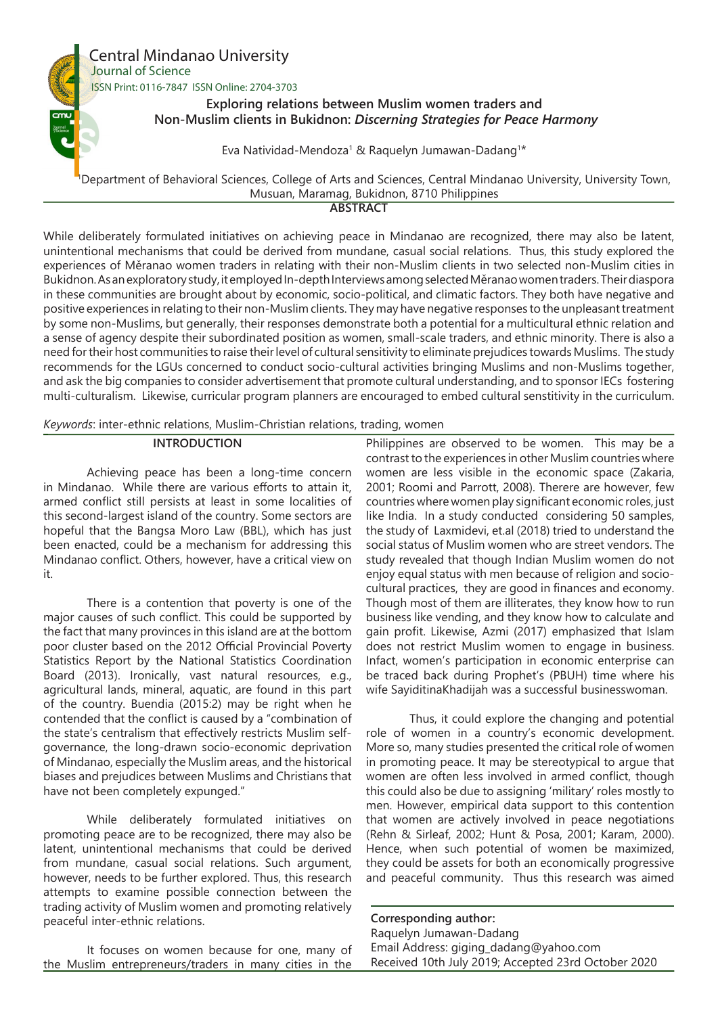

While deliberately formulated initiatives on achieving peace in Mindanao are recognized, there may also be latent, unintentional mechanisms that could be derived from mundane, casual social relations. Thus, this study explored the experiences of Měranao women traders in relating with their non-Muslim clients in two selected non-Muslim cities in Bukidnon. As an exploratory study, it employed In-depth Interviews among selected Měranao women traders. Their diaspora in these communities are brought about by economic, socio-political, and climatic factors. They both have negative and positive experiences in relating to their non-Muslim clients. They may have negative responses to the unpleasant treatment by some non-Muslims, but generally, their responses demonstrate both a potential for a multicultural ethnic relation and a sense of agency despite their subordinated position as women, small-scale traders, and ethnic minority. There is also a need for their host communities to raise their level of cultural sensitivity to eliminate prejudices towards Muslims. The study recommends for the LGUs concerned to conduct socio-cultural activities bringing Muslims and non-Muslims together, and ask the big companies to consider advertisement that promote cultural understanding, and to sponsor IECs fostering multi-culturalism. Likewise, curricular program planners are encouraged to embed cultural senstitivity in the curriculum.

*Keywords*: inter-ethnic relations, Muslim-Christian relations, trading, women

## **INTRODUCTION**

Achieving peace has been a long-time concern in Mindanao. While there are various efforts to attain it, armed conflict still persists at least in some localities of this second-largest island of the country. Some sectors are hopeful that the Bangsa Moro Law (BBL), which has just been enacted, could be a mechanism for addressing this Mindanao conflict. Others, however, have a critical view on it.

There is a contention that poverty is one of the major causes of such conflict. This could be supported by the fact that many provinces in this island are at the bottom poor cluster based on the 2012 Official Provincial Poverty Statistics Report by the National Statistics Coordination Board (2013). Ironically, vast natural resources, e.g., agricultural lands, mineral, aquatic, are found in this part of the country. Buendia (2015:2) may be right when he contended that the conflict is caused by a "combination of the state's centralism that effectively restricts Muslim selfgovernance, the long-drawn socio-economic deprivation of Mindanao, especially the Muslim areas, and the historical biases and prejudices between Muslims and Christians that have not been completely expunged."

While deliberately formulated initiatives on promoting peace are to be recognized, there may also be latent, unintentional mechanisms that could be derived from mundane, casual social relations. Such argument, however, needs to be further explored. Thus, this research attempts to examine possible connection between the trading activity of Muslim women and promoting relatively peaceful inter-ethnic relations.

It focuses on women because for one, many of the Muslim entrepreneurs/traders in many cities in the

Philippines are observed to be women. This may be a contrast to the experiences in other Muslim countries where women are less visible in the economic space (Zakaria, 2001; Roomi and Parrott, 2008). Therere are however, few countries where women play significant economic roles, just like India. In a study conducted considering 50 samples, the study of Laxmidevi, et.al (2018) tried to understand the social status of Muslim women who are street vendors. The study revealed that though Indian Muslim women do not enjoy equal status with men because of religion and sociocultural practices, they are good in finances and economy. Though most of them are illiterates, they know how to run business like vending, and they know how to calculate and gain profit. Likewise, Azmi (2017) emphasized that Islam does not restrict Muslim women to engage in business. Infact, women's participation in economic enterprise can be traced back during Prophet's (PBUH) time where his wife SayiditinaKhadijah was a successful businesswoman.

Thus, it could explore the changing and potential role of women in a country's economic development. More so, many studies presented the critical role of women in promoting peace. It may be stereotypical to argue that women are often less involved in armed conflict, though this could also be due to assigning 'military' roles mostly to men. However, empirical data support to this contention that women are actively involved in peace negotiations (Rehn & Sirleaf, 2002; Hunt & Posa, 2001; Karam, 2000). Hence, when such potential of women be maximized, they could be assets for both an economically progressive and peaceful community. Thus this research was aimed

**Corresponding author:** Raquelyn Jumawan-Dadang Email Address: giging\_dadang@yahoo.com Received 10th July 2019; Accepted 23rd October 2020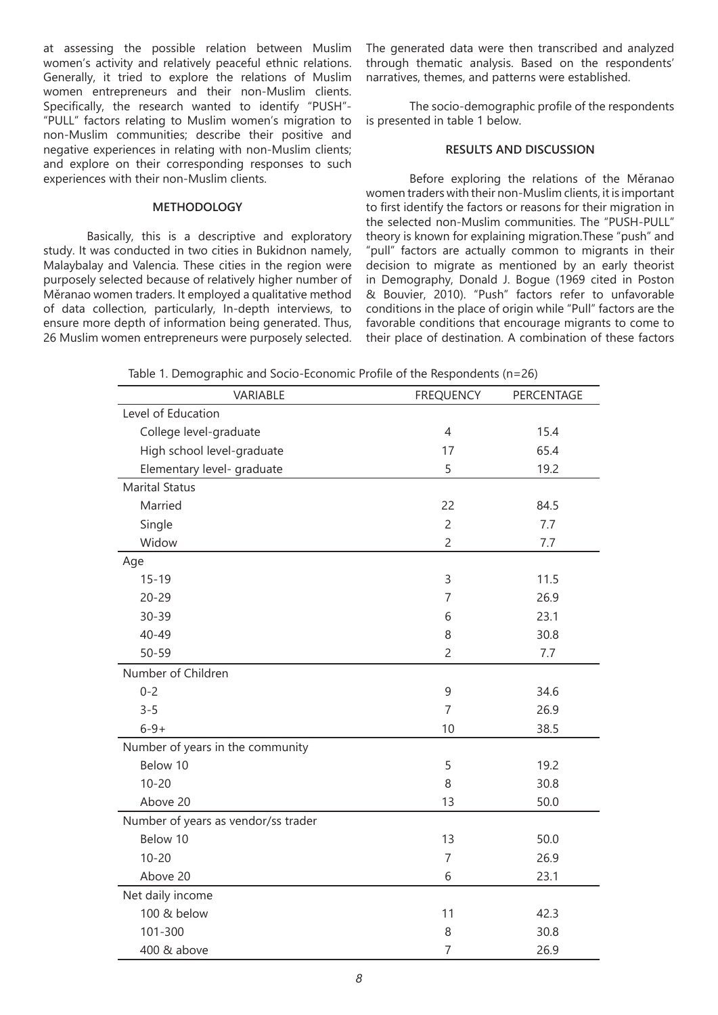at assessing the possible relation between Muslim women's activity and relatively peaceful ethnic relations. Generally, it tried to explore the relations of Muslim women entrepreneurs and their non-Muslim clients. Specifically, the research wanted to identify "PUSH"- "PULL" factors relating to Muslim women's migration to non-Muslim communities; describe their positive and negative experiences in relating with non-Muslim clients; and explore on their corresponding responses to such experiences with their non-Muslim clients.

# **METHODOLOGY**

Basically, this is a descriptive and exploratory study. It was conducted in two cities in Bukidnon namely, Malaybalay and Valencia. These cities in the region were purposely selected because of relatively higher number of Měranao women traders. It employed a qualitative method of data collection, particularly, In-depth interviews, to ensure more depth of information being generated. Thus, 26 Muslim women entrepreneurs were purposely selected. The generated data were then transcribed and analyzed through thematic analysis. Based on the respondents' narratives, themes, and patterns were established.

The socio-demographic profile of the respondents is presented in table 1 below.

## **RESULTS AND DISCUSSION**

Before exploring the relations of the Měranao women traders with their non-Muslim clients, it is important to first identify the factors or reasons for their migration in the selected non-Muslim communities. The "PUSH-PULL" theory is known for explaining migration.These "push" and "pull" factors are actually common to migrants in their decision to migrate as mentioned by an early theorist in Demography, Donald J. Bogue (1969 cited in Poston & Bouvier, 2010). "Push" factors refer to unfavorable conditions in the place of origin while "Pull" factors are the favorable conditions that encourage migrants to come to their place of destination. A combination of these factors

Table 1. Demographic and Socio-Economic Profile of the Respondents (n=26)

| VARIABLE                            | <b>FREQUENCY</b> | PERCENTAGE |
|-------------------------------------|------------------|------------|
| Level of Education                  |                  |            |
| College level-graduate              | $\overline{4}$   | 15.4       |
| High school level-graduate          | 17               | 65.4       |
| Elementary level- graduate          | 5                | 19.2       |
| <b>Marital Status</b>               |                  |            |
| Married                             | 22               | 84.5       |
| Single                              | $\overline{c}$   | 7.7        |
| Widow                               | $\overline{c}$   | 7.7        |
| Age                                 |                  |            |
| $15 - 19$                           | 3                | 11.5       |
| $20 - 29$                           | $\overline{7}$   | 26.9       |
| $30 - 39$                           | 6                | 23.1       |
| $40 - 49$                           | 8                | 30.8       |
| $50 - 59$                           | $\overline{c}$   | 7.7        |
| Number of Children                  |                  |            |
| $0 - 2$                             | 9                | 34.6       |
| $3 - 5$                             | $\overline{7}$   | 26.9       |
| $6 - 9 +$                           | 10               | 38.5       |
| Number of years in the community    |                  |            |
| Below 10                            | 5                | 19.2       |
| $10 - 20$                           | 8                | 30.8       |
| Above 20                            | 13               | 50.0       |
| Number of years as vendor/ss trader |                  |            |
| Below 10                            | 13               | 50.0       |
| $10 - 20$                           | $\overline{7}$   | 26.9       |
| Above 20                            | 6                | 23.1       |
| Net daily income                    |                  |            |
| 100 & below                         | 11               | 42.3       |
| 101-300                             | 8                | 30.8       |
| 400 & above                         | $\overline{7}$   | 26.9       |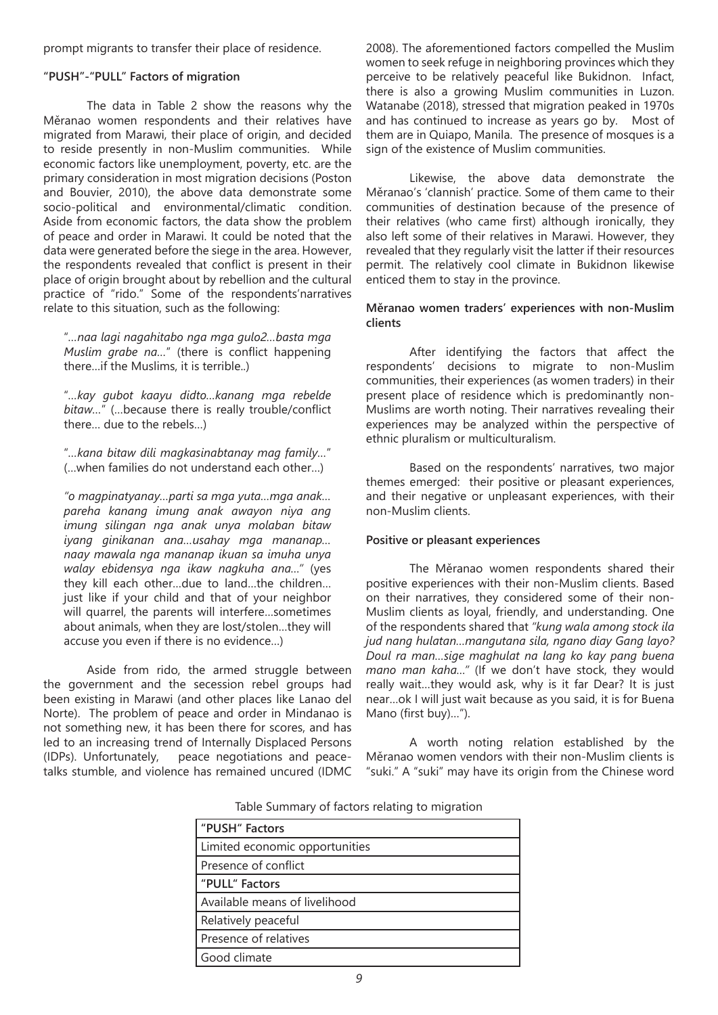prompt migrants to transfer their place of residence.

## **"PUSH"-"PULL" Factors of migration**

The data in Table 2 show the reasons why the Měranao women respondents and their relatives have migrated from Marawi, their place of origin, and decided to reside presently in non-Muslim communities. While economic factors like unemployment, poverty, etc. are the primary consideration in most migration decisions (Poston and Bouvier, 2010), the above data demonstrate some socio-political and environmental/climatic condition. Aside from economic factors, the data show the problem of peace and order in Marawi. It could be noted that the data were generated before the siege in the area. However, the respondents revealed that conflict is present in their place of origin brought about by rebellion and the cultural practice of "rido." Some of the respondents'narratives relate to this situation, such as the following:

"*…naa lagi nagahitabo nga mga gulo2…basta mga Muslim grabe na…*" (there is conflict happening there…if the Muslims, it is terrible..)

"*…kay gubot kaayu didto…kanang mga rebelde bitaw…*" (…because there is really trouble/conflict there… due to the rebels…)

"*…kana bitaw dili magkasinabtanay mag family…*" (…when families do not understand each other…)

*"o magpinatyanay…parti sa mga yuta…mga anak… pareha kanang imung anak awayon niya ang imung silingan nga anak unya molaban bitaw iyang ginikanan ana…usahay mga mananap… naay mawala nga mananap ikuan sa imuha unya walay ebidensya nga ikaw nagkuha ana…"* (yes they kill each other…due to land…the children… just like if your child and that of your neighbor will quarrel, the parents will interfere…sometimes about animals, when they are lost/stolen…they will accuse you even if there is no evidence…)

Aside from rido, the armed struggle between the government and the secession rebel groups had been existing in Marawi (and other places like Lanao del Norte). The problem of peace and order in Mindanao is not something new, it has been there for scores, and has led to an increasing trend of Internally Displaced Persons (IDPs). Unfortunately, peace negotiations and peacetalks stumble, and violence has remained uncured (IDMC

2008). The aforementioned factors compelled the Muslim women to seek refuge in neighboring provinces which they perceive to be relatively peaceful like Bukidnon. Infact, there is also a growing Muslim communities in Luzon. Watanabe (2018), stressed that migration peaked in 1970s and has continued to increase as years go by. Most of them are in Quiapo, Manila. The presence of mosques is a sign of the existence of Muslim communities.

Likewise, the above data demonstrate the Měranao's 'clannish' practice. Some of them came to their communities of destination because of the presence of their relatives (who came first) although ironically, they also left some of their relatives in Marawi. However, they revealed that they regularly visit the latter if their resources permit. The relatively cool climate in Bukidnon likewise enticed them to stay in the province.

## **Měranao women traders' experiences with non-Muslim clients**

After identifying the factors that affect the respondents' decisions to migrate to non-Muslim communities, their experiences (as women traders) in their present place of residence which is predominantly non-Muslims are worth noting. Their narratives revealing their experiences may be analyzed within the perspective of ethnic pluralism or multiculturalism.

Based on the respondents' narratives, two major themes emerged: their positive or pleasant experiences, and their negative or unpleasant experiences, with their non-Muslim clients.

## **Positive or pleasant experiences**

The Měranao women respondents shared their positive experiences with their non-Muslim clients. Based on their narratives, they considered some of their non-Muslim clients as loyal, friendly, and understanding. One of the respondents shared that *"kung wala among stock ila jud nang hulatan…mangutana sila, ngano diay Gang layo? Doul ra man…sige maghulat na lang ko kay pang buena mano man kaha…"* (If we don't have stock, they would really wait…they would ask, why is it far Dear? It is just near…ok I will just wait because as you said, it is for Buena Mano (first buy)…").

A worth noting relation established by the Měranao women vendors with their non-Muslim clients is "suki." A "suki" may have its origin from the Chinese word

Table Summary of factors relating to migration

| "PUSH" Factors                 |
|--------------------------------|
| Limited economic opportunities |
| Presence of conflict           |
| "PULL" Factors                 |
| Available means of livelihood  |
| Relatively peaceful            |
| Presence of relatives          |
| Good climate                   |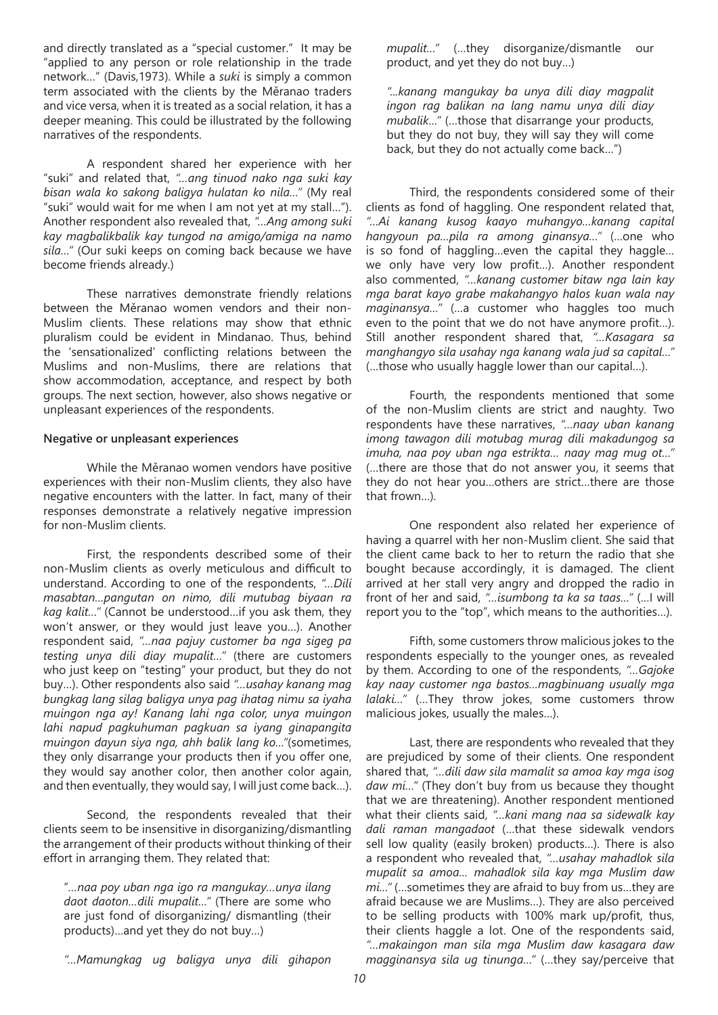and directly translated as a "special customer." It may be "applied to any person or role relationship in the trade network…" (Davis,1973). While a *suki* is simply a common term associated with the clients by the Měranao traders and vice versa, when it is treated as a social relation, it has a deeper meaning. This could be illustrated by the following narratives of the respondents.

A respondent shared her experience with her "suki" and related that, *"…ang tinuod nako nga suki kay bisan wala ko sakong baligya hulatan ko nila…"* (My real "suki" would wait for me when I am not yet at my stall…"). Another respondent also revealed that, *"…Ang among suki kay magbalikbalik kay tungod na amigo/amiga na namo sila…"* (Our suki keeps on coming back because we have become friends already.)

These narratives demonstrate friendly relations between the Měranao women vendors and their non-Muslim clients. These relations may show that ethnic pluralism could be evident in Mindanao. Thus, behind the 'sensationalized' conflicting relations between the Muslims and non-Muslims, there are relations that show accommodation, acceptance, and respect by both groups. The next section, however, also shows negative or unpleasant experiences of the respondents.

## **Negative or unpleasant experiences**

While the Měranao women vendors have positive experiences with their non-Muslim clients, they also have negative encounters with the latter. In fact, many of their responses demonstrate a relatively negative impression for non-Muslim clients.

First, the respondents described some of their non-Muslim clients as overly meticulous and difficult to understand. According to one of the respondents, *"…Dili masabtan…pangutan on nimo, dili mutubag biyaan ra kag kalit…"* (Cannot be understood…if you ask them, they won't answer, or they would just leave you…). Another respondent said, *"…naa pajuy customer ba nga sigeg pa testing unya dili diay mupalit…"* (there are customers who just keep on "testing" your product, but they do not buy…). Other respondents also said *"…usahay kanang mag bungkag lang silag baligya unya pag ihatag nimu sa iyaha muingon nga ay! Kanang lahi nga color, unya muingon lahi napud pagkuhuman pagkuan sa iyang ginapangita muingon dayun siya nga, ahh balik lang ko…"*(sometimes, they only disarrange your products then if you offer one, they would say another color, then another color again, and then eventually, they would say, I will just come back…).

Second, the respondents revealed that their clients seem to be insensitive in disorganizing/dismantling the arrangement of their products without thinking of their effort in arranging them. They related that:

"*…naa poy uban nga igo ra mangukay…unya ilang daot daoton…dili mupalit…"* (There are some who are just fond of disorganizing/ dismantling (their products)…and yet they do not buy…)

*"…Mamungkag ug baligya unya dili gihapon* 

*mupalit…"* (…they disorganize/dismantle our product, and yet they do not buy…)

*"...kanang mangukay ba unya dili diay magpalit ingon rag balikan na lang namu unya dili diay mubalik…"* (…those that disarrange your products, but they do not buy, they will say they will come back, but they do not actually come back…")

Third, the respondents considered some of their clients as fond of haggling. One respondent related that, *"…Ai kanang kusog kaayo muhangyo…kanang capital hangyoun pa…pila ra among ginansya…"* (…one who is so fond of haggling…even the capital they haggle… we only have very low profit…). Another respondent also commented, *"…kanang customer bitaw nga lain kay mga barat kayo grabe makahangyo halos kuan wala nay maginansya…"* (…a customer who haggles too much even to the point that we do not have anymore profit…). Still another respondent shared that, *"…Kasagara sa manghangyo sila usahay nga kanang wala jud sa capital…"*  (…those who usually haggle lower than our capital…).

Fourth, the respondents mentioned that some of the non-Muslim clients are strict and naughty. Two respondents have these narratives, *"…naay uban kanang imong tawagon dili motubag murag dili makadungog sa imuha, naa poy uban nga estrikta… naay mag mug ot…"*  (…there are those that do not answer you, it seems that they do not hear you…others are strict…there are those that frown…).

One respondent also related her experience of having a quarrel with her non-Muslim client. She said that the client came back to her to return the radio that she bought because accordingly, it is damaged. The client arrived at her stall very angry and dropped the radio in front of her and said, *"…isumbong ta ka sa taas…"* (…I will report you to the "top", which means to the authorities…).

Fifth, some customers throw malicious jokes to the respondents especially to the younger ones, as revealed by them. According to one of the respondents, *"…Gajoke kay naay customer nga bastos…magbinuang usually mga lalaki…"* (…They throw jokes, some customers throw malicious jokes, usually the males…).

Last, there are respondents who revealed that they are prejudiced by some of their clients. One respondent shared that, *"…dili daw sila mamalit sa amoa kay mga isog daw mi…"* (They don't buy from us because they thought that we are threatening). Another respondent mentioned what their clients said, *"…kani mang naa sa sidewalk kay dali raman mangadaot* (…that these sidewalk vendors sell low quality (easily broken) products…). There is also a respondent who revealed that, *"…usahay mahadlok sila mupalit sa amoa… mahadlok sila kay mga Muslim daw mi…"* (…sometimes they are afraid to buy from us…they are afraid because we are Muslims…). They are also perceived to be selling products with 100% mark up/profit, thus, their clients haggle a lot. One of the respondents said, *"…makaingon man sila mga Muslim daw kasagara daw magginansya sila ug tinunga…"* (…they say/perceive that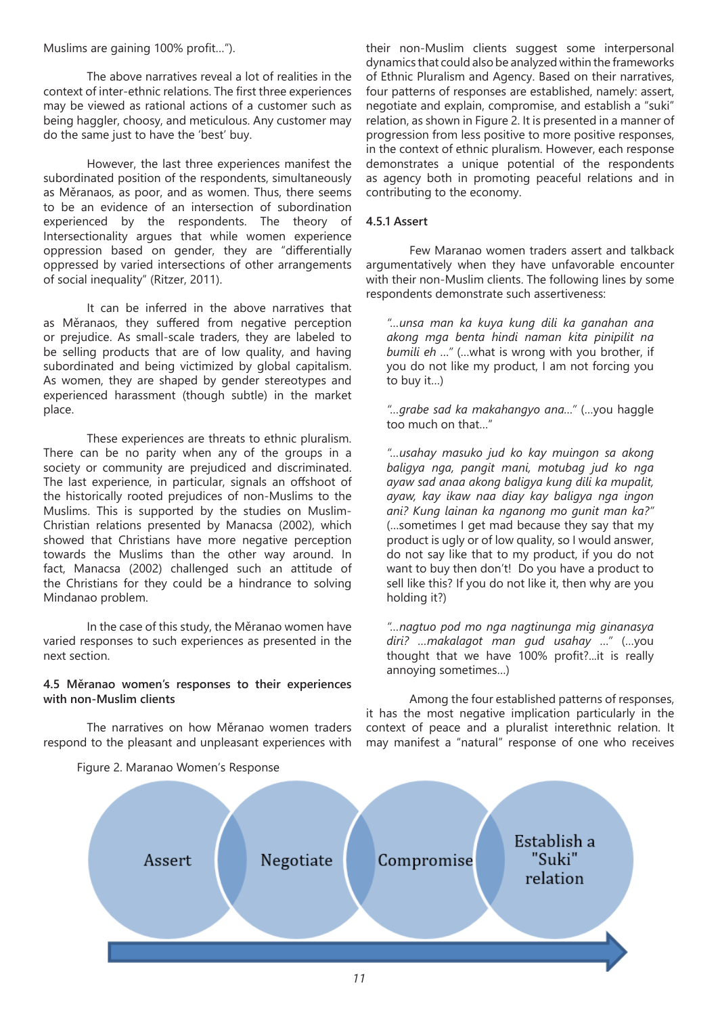Muslims are gaining 100% profit…").

The above narratives reveal a lot of realities in the context of inter-ethnic relations. The first three experiences may be viewed as rational actions of a customer such as being haggler, choosy, and meticulous. Any customer may do the same just to have the 'best' buy.

However, the last three experiences manifest the subordinated position of the respondents, simultaneously as Měranaos, as poor, and as women. Thus, there seems to be an evidence of an intersection of subordination experienced by the respondents. The theory of Intersectionality argues that while women experience oppression based on gender, they are "differentially oppressed by varied intersections of other arrangements of social inequality" (Ritzer, 2011).

It can be inferred in the above narratives that as Měranaos, they suffered from negative perception or prejudice. As small-scale traders, they are labeled to be selling products that are of low quality, and having subordinated and being victimized by global capitalism. As women, they are shaped by gender stereotypes and experienced harassment (though subtle) in the market place.

These experiences are threats to ethnic pluralism. There can be no parity when any of the groups in a society or community are prejudiced and discriminated. The last experience, in particular, signals an offshoot of the historically rooted prejudices of non-Muslims to the Muslims. This is supported by the studies on Muslim-Christian relations presented by Manacsa (2002), which showed that Christians have more negative perception towards the Muslims than the other way around. In fact, Manacsa (2002) challenged such an attitude of the Christians for they could be a hindrance to solving Mindanao problem.

In the case of this study, the Měranao women have varied responses to such experiences as presented in the next section.

# **4.5 Měranao women's responses to their experiences with non-Muslim clients**

The narratives on how Měranao women traders respond to the pleasant and unpleasant experiences with their non-Muslim clients suggest some interpersonal dynamics that could also be analyzed within the frameworks of Ethnic Pluralism and Agency. Based on their narratives, four patterns of responses are established, namely: assert, negotiate and explain, compromise, and establish a "suki" relation, as shown in Figure 2. It is presented in a manner of progression from less positive to more positive responses, in the context of ethnic pluralism. However, each response demonstrates a unique potential of the respondents as agency both in promoting peaceful relations and in contributing to the economy.

# **4.5.1 Assert**

Few Maranao women traders assert and talkback argumentatively when they have unfavorable encounter with their non-Muslim clients. The following lines by some respondents demonstrate such assertiveness:

*"…unsa man ka kuya kung dili ka ganahan ana akong mga benta hindi naman kita pinipilit na bumili eh …"* (…what is wrong with you brother, if you do not like my product, I am not forcing you to buy it…)

*"…grabe sad ka makahangyo ana…"* (…you haggle too much on that…"

*"…usahay masuko jud ko kay muingon sa akong baligya nga, pangit mani, motubag jud ko nga ayaw sad anaa akong baligya kung dili ka mupalit, ayaw, kay ikaw naa diay kay baligya nga ingon ani? Kung lainan ka nganong mo gunit man ka?"* (…sometimes I get mad because they say that my product is ugly or of low quality, so I would answer, do not say like that to my product, if you do not want to buy then don't! Do you have a product to sell like this? If you do not like it, then why are you holding it?)

*"…nagtuo pod mo nga nagtinunga mig ginanasya diri? …makalagot man gud usahay …"* (…you thought that we have 100% profit?...it is really annoying sometimes…)

Among the four established patterns of responses, it has the most negative implication particularly in the context of peace and a pluralist interethnic relation. It may manifest a "natural" response of one who receives



Figure 2. Maranao Women's Response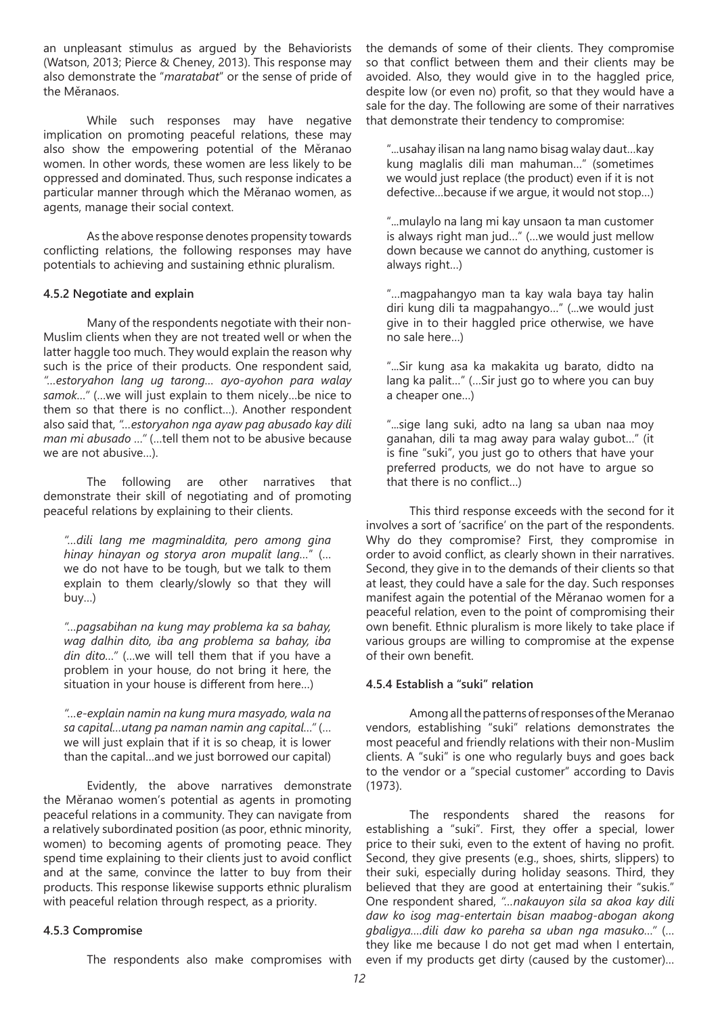an unpleasant stimulus as argued by the Behaviorists (Watson, 2013; Pierce & Cheney, 2013). This response may also demonstrate the "*maratabat*" or the sense of pride of the Měranaos.

While such responses may have negative implication on promoting peaceful relations, these may also show the empowering potential of the Měranao women. In other words, these women are less likely to be oppressed and dominated. Thus, such response indicates a particular manner through which the Měranao women, as agents, manage their social context.

As the above response denotes propensity towards conflicting relations, the following responses may have potentials to achieving and sustaining ethnic pluralism.

# **4.5.2 Negotiate and explain**

Many of the respondents negotiate with their non-Muslim clients when they are not treated well or when the latter haggle too much. They would explain the reason why such is the price of their products. One respondent said, *"…estoryahon lang ug tarong… ayo-ayohon para walay samok…"* (…we will just explain to them nicely…be nice to them so that there is no conflict…). Another respondent also said that, *"…estoryahon nga ayaw pag abusado kay dili man mi abusado …"* (…tell them not to be abusive because we are not abusive…).

The following are other narratives that demonstrate their skill of negotiating and of promoting peaceful relations by explaining to their clients.

*"…dili lang me magminaldita, pero among gina hinay hinayan og storya aron mupalit lang…*" (… we do not have to be tough, but we talk to them explain to them clearly/slowly so that they will buy…)

*"…pagsabihan na kung may problema ka sa bahay, wag dalhin dito, iba ang problema sa bahay, iba din dito…"* (…we will tell them that if you have a problem in your house, do not bring it here, the situation in your house is different from here…)

*"…e-explain namin na kung mura masyado, wala na sa capital…utang pa naman namin ang capital…"* (… we will just explain that if it is so cheap, it is lower than the capital…and we just borrowed our capital)

Evidently, the above narratives demonstrate the Měranao women's potential as agents in promoting peaceful relations in a community. They can navigate from a relatively subordinated position (as poor, ethnic minority, women) to becoming agents of promoting peace. They spend time explaining to their clients just to avoid conflict and at the same, convince the latter to buy from their products. This response likewise supports ethnic pluralism with peaceful relation through respect, as a priority.

## **4.5.3 Compromise**

The respondents also make compromises with

the demands of some of their clients. They compromise so that conflict between them and their clients may be avoided. Also, they would give in to the haggled price, despite low (or even no) profit, so that they would have a sale for the day. The following are some of their narratives that demonstrate their tendency to compromise:

"...usahay ilisan na lang namo bisag walay daut…kay kung maglalis dili man mahuman…" (sometimes we would just replace (the product) even if it is not defective…because if we argue, it would not stop…)

"...mulaylo na lang mi kay unsaon ta man customer is always right man jud…" (…we would just mellow down because we cannot do anything, customer is always right…)

"…magpahangyo man ta kay wala baya tay halin diri kung dili ta magpahangyo…" (...we would just give in to their haggled price otherwise, we have no sale here…)

"...Sir kung asa ka makakita ug barato, didto na lang ka palit…" (…Sir just go to where you can buy a cheaper one…)

"...sige lang suki, adto na lang sa uban naa moy ganahan, dili ta mag away para walay gubot…" (it is fine "suki", you just go to others that have your preferred products, we do not have to argue so that there is no conflict…)

This third response exceeds with the second for it involves a sort of 'sacrifice' on the part of the respondents. Why do they compromise? First, they compromise in order to avoid conflict, as clearly shown in their narratives. Second, they give in to the demands of their clients so that at least, they could have a sale for the day. Such responses manifest again the potential of the Měranao women for a peaceful relation, even to the point of compromising their own benefit. Ethnic pluralism is more likely to take place if various groups are willing to compromise at the expense of their own benefit.

## **4.5.4 Establish a "suki" relation**

Among all the patterns of responses of the Meranao vendors, establishing "suki" relations demonstrates the most peaceful and friendly relations with their non-Muslim clients. A "suki" is one who regularly buys and goes back to the vendor or a "special customer" according to Davis (1973).

The respondents shared the reasons for establishing a "suki". First, they offer a special, lower price to their suki, even to the extent of having no profit. Second, they give presents (e.g., shoes, shirts, slippers) to their suki, especially during holiday seasons. Third, they believed that they are good at entertaining their "sukis." One respondent shared, *"…nakauyon sila sa akoa kay dili daw ko isog mag-entertain bisan maabog-abogan akong gbaligya….dili daw ko pareha sa uban nga masuko…"* (… they like me because I do not get mad when I entertain, even if my products get dirty (caused by the customer)…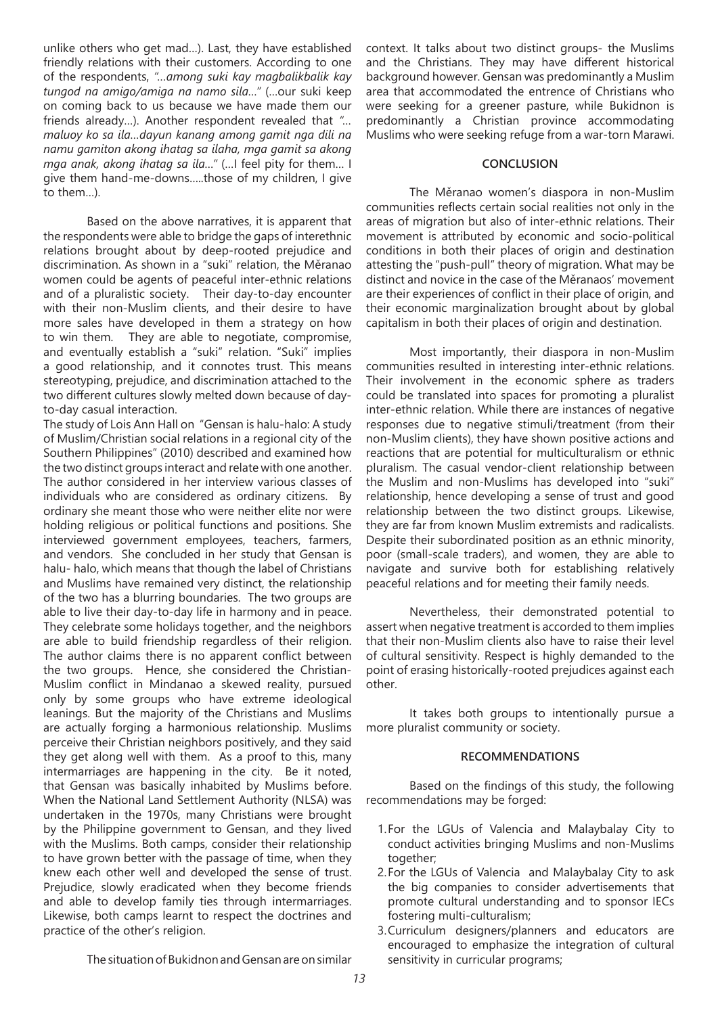unlike others who get mad…). Last, they have established friendly relations with their customers. According to one of the respondents, *"…among suki kay magbalikbalik kay tungod na amigo/amiga na namo sila…"* (…our suki keep on coming back to us because we have made them our friends already…). Another respondent revealed that *"… maluoy ko sa ila…dayun kanang among gamit nga dili na namu gamiton akong ihatag sa ilaha, mga gamit sa akong mga anak, akong ihatag sa ila…"* (…I feel pity for them… I give them hand-me-downs…..those of my children, I give to them…).

Based on the above narratives, it is apparent that the respondents were able to bridge the gaps of interethnic relations brought about by deep-rooted prejudice and discrimination. As shown in a "suki" relation, the Měranao women could be agents of peaceful inter-ethnic relations and of a pluralistic society. Their day-to-day encounter with their non-Muslim clients, and their desire to have more sales have developed in them a strategy on how to win them. They are able to negotiate, compromise, and eventually establish a "suki" relation. "Suki" implies a good relationship, and it connotes trust. This means stereotyping, prejudice, and discrimination attached to the two different cultures slowly melted down because of dayto-day casual interaction.

The study of Lois Ann Hall on "Gensan is halu-halo: A study of Muslim/Christian social relations in a regional city of the Southern Philippines" (2010) described and examined how the two distinct groups interact and relate with one another. The author considered in her interview various classes of individuals who are considered as ordinary citizens. By ordinary she meant those who were neither elite nor were holding religious or political functions and positions. She interviewed government employees, teachers, farmers, and vendors. She concluded in her study that Gensan is halu- halo, which means that though the label of Christians and Muslims have remained very distinct, the relationship of the two has a blurring boundaries. The two groups are able to live their day-to-day life in harmony and in peace. They celebrate some holidays together, and the neighbors are able to build friendship regardless of their religion. The author claims there is no apparent conflict between the two groups. Hence, she considered the Christian-Muslim conflict in Mindanao a skewed reality, pursued only by some groups who have extreme ideological leanings. But the majority of the Christians and Muslims are actually forging a harmonious relationship. Muslims perceive their Christian neighbors positively, and they said they get along well with them. As a proof to this, many intermarriages are happening in the city. Be it noted, that Gensan was basically inhabited by Muslims before. When the National Land Settlement Authority (NLSA) was undertaken in the 1970s, many Christians were brought by the Philippine government to Gensan, and they lived with the Muslims. Both camps, consider their relationship to have grown better with the passage of time, when they knew each other well and developed the sense of trust. Prejudice, slowly eradicated when they become friends and able to develop family ties through intermarriages. Likewise, both camps learnt to respect the doctrines and practice of the other's religion.

context. It talks about two distinct groups- the Muslims and the Christians. They may have different historical background however. Gensan was predominantly a Muslim area that accommodated the entrence of Christians who were seeking for a greener pasture, while Bukidnon is predominantly a Christian province accommodating Muslims who were seeking refuge from a war-torn Marawi.

#### **CONCLUSION**

The Měranao women's diaspora in non-Muslim communities reflects certain social realities not only in the areas of migration but also of inter-ethnic relations. Their movement is attributed by economic and socio-political conditions in both their places of origin and destination attesting the "push-pull" theory of migration. What may be distinct and novice in the case of the Měranaos' movement are their experiences of conflict in their place of origin, and their economic marginalization brought about by global capitalism in both their places of origin and destination.

Most importantly, their diaspora in non-Muslim communities resulted in interesting inter-ethnic relations. Their involvement in the economic sphere as traders could be translated into spaces for promoting a pluralist inter-ethnic relation. While there are instances of negative responses due to negative stimuli/treatment (from their non-Muslim clients), they have shown positive actions and reactions that are potential for multiculturalism or ethnic pluralism. The casual vendor-client relationship between the Muslim and non-Muslims has developed into "suki" relationship, hence developing a sense of trust and good relationship between the two distinct groups. Likewise, they are far from known Muslim extremists and radicalists. Despite their subordinated position as an ethnic minority, poor (small-scale traders), and women, they are able to navigate and survive both for establishing relatively peaceful relations and for meeting their family needs.

Nevertheless, their demonstrated potential to assert when negative treatment is accorded to them implies that their non-Muslim clients also have to raise their level of cultural sensitivity. Respect is highly demanded to the point of erasing historically-rooted prejudices against each other.

It takes both groups to intentionally pursue a more pluralist community or society.

#### **RECOMMENDATIONS**

Based on the findings of this study, the following recommendations may be forged:

- 1.For the LGUs of Valencia and Malaybalay City to conduct activities bringing Muslims and non-Muslims together;
- 2.For the LGUs of Valencia and Malaybalay City to ask the big companies to consider advertisements that promote cultural understanding and to sponsor IECs fostering multi-culturalism;
- 3.Curriculum designers/planners and educators are encouraged to emphasize the integration of cultural sensitivity in curricular programs;

The situation of Bukidnon and Gensan are on similar